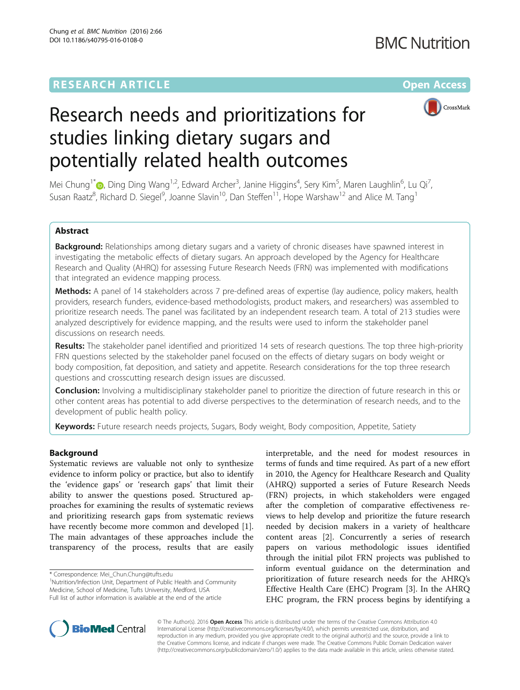# **RESEARCH ARTICLE Example 2014 12:30 The Contract of Contract ACCESS**



# Research needs and prioritizations for studies linking dietary sugars and potentially related health outcomes

Mei Chung $^{\text{1*}}$  (D[,](http://orcid.org/0000-0002-5583-2870) Ding Ding Wang $^{\text{1,2}}$ , Edward Archer $^{\text{3}}$ , Janine Higgins $^{\text{4}}$ , Sery Kim $^{\text{5}}$ , Maren Laughlin $^{\text{6}}$ , Lu Qi $^{\text{7}}$ , Susan Raatz<sup>8</sup>, Richard D. Siegel<sup>9</sup>, Joanne Slavin<sup>10</sup>, Dan Steffen<sup>11</sup>, Hope Warshaw<sup>12</sup> and Alice M. Tang<sup>1</sup>

# Abstract

Background: Relationships among dietary sugars and a variety of chronic diseases have spawned interest in investigating the metabolic effects of dietary sugars. An approach developed by the Agency for Healthcare Research and Quality (AHRQ) for assessing Future Research Needs (FRN) was implemented with modifications that integrated an evidence mapping process.

Methods: A panel of 14 stakeholders across 7 pre-defined areas of expertise (lay audience, policy makers, health providers, research funders, evidence-based methodologists, product makers, and researchers) was assembled to prioritize research needs. The panel was facilitated by an independent research team. A total of 213 studies were analyzed descriptively for evidence mapping, and the results were used to inform the stakeholder panel discussions on research needs.

Results: The stakeholder panel identified and prioritized 14 sets of research questions. The top three high-priority FRN questions selected by the stakeholder panel focused on the effects of dietary sugars on body weight or body composition, fat deposition, and satiety and appetite. Research considerations for the top three research questions and crosscutting research design issues are discussed.

**Conclusion:** Involving a multidisciplinary stakeholder panel to prioritize the direction of future research in this or other content areas has potential to add diverse perspectives to the determination of research needs, and to the development of public health policy.

Keywords: Future research needs projects, Sugars, Body weight, Body composition, Appetite, Satiety

### Background

Systematic reviews are valuable not only to synthesize evidence to inform policy or practice, but also to identify the 'evidence gaps' or 'research gaps' that limit their ability to answer the questions posed. Structured approaches for examining the results of systematic reviews and prioritizing research gaps from systematic reviews have recently become more common and developed [\[1](#page-9-0)]. The main advantages of these approaches include the transparency of the process, results that are easily

\* Correspondence: [Mei\\_Chun.Chung@tufts.edu](mailto:Mei_Chun.Chung@tufts.edu) <sup>1</sup>

interpretable, and the need for modest resources in terms of funds and time required. As part of a new effort in 2010, the Agency for Healthcare Research and Quality (AHRQ) supported a series of Future Research Needs (FRN) projects, in which stakeholders were engaged after the completion of comparative effectiveness reviews to help develop and prioritize the future research needed by decision makers in a variety of healthcare content areas [[2\]](#page-9-0). Concurrently a series of research papers on various methodologic issues identified through the initial pilot FRN projects was published to inform eventual guidance on the determination and prioritization of future research needs for the AHRQ's Effective Health Care (EHC) Program [\[3](#page-10-0)]. In the AHRQ EHC program, the FRN process begins by identifying a



© The Author(s). 2016 Open Access This article is distributed under the terms of the Creative Commons Attribution 4.0 International License [\(http://creativecommons.org/licenses/by/4.0/](http://creativecommons.org/licenses/by/4.0/)), which permits unrestricted use, distribution, and reproduction in any medium, provided you give appropriate credit to the original author(s) and the source, provide a link to the Creative Commons license, and indicate if changes were made. The Creative Commons Public Domain Dedication waiver [\(http://creativecommons.org/publicdomain/zero/1.0/](http://creativecommons.org/publicdomain/zero/1.0/)) applies to the data made available in this article, unless otherwise stated.

<sup>&</sup>lt;sup>1</sup>Nutrition/Infection Unit, Department of Public Health and Community Medicine, School of Medicine, Tufts University, Medford, USA Full list of author information is available at the end of the article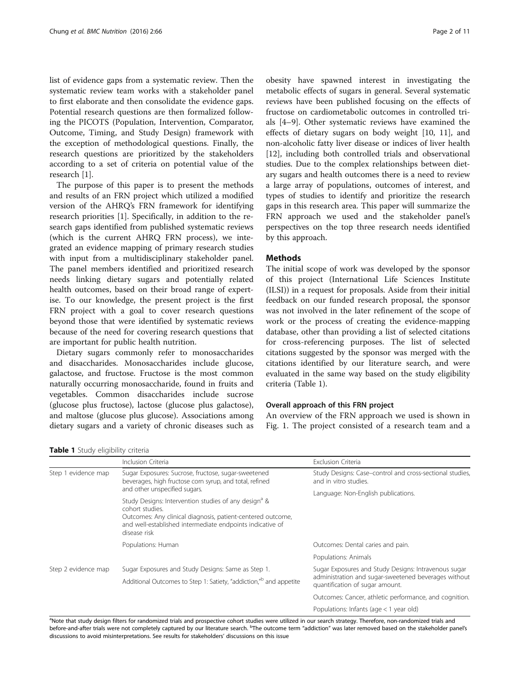list of evidence gaps from a systematic review. Then the systematic review team works with a stakeholder panel to first elaborate and then consolidate the evidence gaps. Potential research questions are then formalized following the PICOTS (Population, Intervention, Comparator, Outcome, Timing, and Study Design) framework with the exception of methodological questions. Finally, the research questions are prioritized by the stakeholders according to a set of criteria on potential value of the research [[1\]](#page-9-0).

The purpose of this paper is to present the methods and results of an FRN project which utilized a modified version of the AHRQ's FRN framework for identifying research priorities [[1](#page-9-0)]. Specifically, in addition to the research gaps identified from published systematic reviews (which is the current AHRQ FRN process), we integrated an evidence mapping of primary research studies with input from a multidisciplinary stakeholder panel. The panel members identified and prioritized research needs linking dietary sugars and potentially related health outcomes, based on their broad range of expertise. To our knowledge, the present project is the first FRN project with a goal to cover research questions beyond those that were identified by systematic reviews because of the need for covering research questions that are important for public health nutrition.

Dietary sugars commonly refer to monosaccharides and disaccharides. Monosaccharides include glucose, galactose, and fructose. Fructose is the most common naturally occurring monosaccharide, found in fruits and vegetables. Common disaccharides include sucrose (glucose plus fructose), lactose (glucose plus galactose), and maltose (glucose plus glucose). Associations among dietary sugars and a variety of chronic diseases such as obesity have spawned interest in investigating the metabolic effects of sugars in general. Several systematic reviews have been published focusing on the effects of fructose on cardiometabolic outcomes in controlled trials [\[4](#page-10-0)–[9\]](#page-10-0). Other systematic reviews have examined the effects of dietary sugars on body weight [[10, 11](#page-10-0)], and non-alcoholic fatty liver disease or indices of liver health [[12\]](#page-10-0), including both controlled trials and observational studies. Due to the complex relationships between dietary sugars and health outcomes there is a need to review a large array of populations, outcomes of interest, and types of studies to identify and prioritize the research gaps in this research area. This paper will summarize the FRN approach we used and the stakeholder panel's perspectives on the top three research needs identified by this approach.

#### **Methods**

The initial scope of work was developed by the sponsor of this project (International Life Sciences Institute (ILSI)) in a request for proposals. Aside from their initial feedback on our funded research proposal, the sponsor was not involved in the later refinement of the scope of work or the process of creating the evidence-mapping database, other than providing a list of selected citations for cross-referencing purposes. The list of selected citations suggested by the sponsor was merged with the citations identified by our literature search, and were evaluated in the same way based on the study eligibility criteria (Table 1).

#### Overall approach of this FRN project

An overview of the FRN approach we used is shown in Fig. [1.](#page-2-0) The project consisted of a research team and a

Table 1 Study eligibility criteria

| <b>TUDIC I</b> because conditioning contents                      |                                                                                                                                                                                                                                                                                                                                                                                    |                                                                                   |                                                                                                                                                 |                                   |
|-------------------------------------------------------------------|------------------------------------------------------------------------------------------------------------------------------------------------------------------------------------------------------------------------------------------------------------------------------------------------------------------------------------------------------------------------------------|-----------------------------------------------------------------------------------|-------------------------------------------------------------------------------------------------------------------------------------------------|-----------------------------------|
|                                                                   | Inclusion Criteria                                                                                                                                                                                                                                                                                                                                                                 | Exclusion Criteria                                                                |                                                                                                                                                 |                                   |
| Step 1 evidence map                                               | Sugar Exposures: Sucrose, fructose, sugar-sweetened<br>beverages, high fructose corn syrup, and total, refined<br>and other unspecified sugars.<br>Study Designs: Intervention studies of any design <sup>a</sup> &<br>cohort studies.<br>Outcomes: Any clinical diagnosis, patient-centered outcome,<br>and well-established intermediate endpoints indicative of<br>disease risk | Study Designs: Case-control and cross-sectional studies,<br>and in vitro studies. |                                                                                                                                                 |                                   |
|                                                                   |                                                                                                                                                                                                                                                                                                                                                                                    | Language: Non-English publications.                                               |                                                                                                                                                 |                                   |
|                                                                   |                                                                                                                                                                                                                                                                                                                                                                                    |                                                                                   | Populations: Human                                                                                                                              | Outcomes: Dental caries and pain. |
|                                                                   |                                                                                                                                                                                                                                                                                                                                                                                    | Populations: Animals                                                              |                                                                                                                                                 |                                   |
|                                                                   | Step 2 evidence map                                                                                                                                                                                                                                                                                                                                                                | Sugar Exposures and Study Designs: Same as Step 1.                                | Sugar Exposures and Study Designs: Intravenous sugar<br>administration and sugar-sweetened beverages without<br>quantification of sugar amount. |                                   |
| Additional Outcomes to Step 1: Satiety, "addiction," and appetite |                                                                                                                                                                                                                                                                                                                                                                                    |                                                                                   |                                                                                                                                                 |                                   |
|                                                                   |                                                                                                                                                                                                                                                                                                                                                                                    | Outcomes: Cancer, athletic performance, and cognition.                            |                                                                                                                                                 |                                   |
|                                                                   |                                                                                                                                                                                                                                                                                                                                                                                    | Populations: Infants (age $<$ 1 year old)                                         |                                                                                                                                                 |                                   |

<sup>a</sup>Note that study design filters for randomized trials and prospective cohort studies were utilized in our search strategy. Therefore, non-randomized trials and before-and-after trials were not completely captured by our literature search. <sup>b</sup>The outcome term "addiction" was later removed based on the stakeholder panel's discussions to avoid misinterpretations. See results for stakeholders' discussions on this issue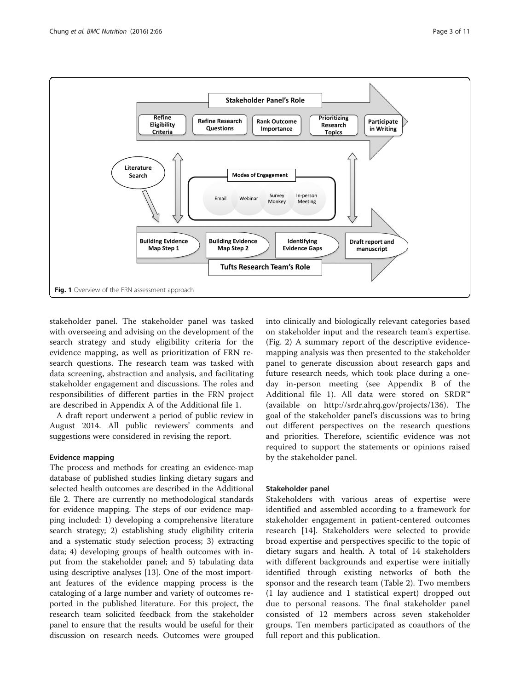<span id="page-2-0"></span>

stakeholder panel. The stakeholder panel was tasked with overseeing and advising on the development of the search strategy and study eligibility criteria for the evidence mapping, as well as prioritization of FRN research questions. The research team was tasked with data screening, abstraction and analysis, and facilitating stakeholder engagement and discussions. The roles and responsibilities of different parties in the FRN project are described in Appendix A of the Additional file [1](#page-9-0).

A draft report underwent a period of public review in August 2014. All public reviewers' comments and suggestions were considered in revising the report.

#### Evidence mapping

The process and methods for creating an evidence-map database of published studies linking dietary sugars and selected health outcomes are described in the Additional file [2.](#page-9-0) There are currently no methodological standards for evidence mapping. The steps of our evidence mapping included: 1) developing a comprehensive literature search strategy; 2) establishing study eligibility criteria and a systematic study selection process; 3) extracting data; 4) developing groups of health outcomes with input from the stakeholder panel; and 5) tabulating data using descriptive analyses [[13\]](#page-10-0). One of the most important features of the evidence mapping process is the cataloging of a large number and variety of outcomes reported in the published literature. For this project, the research team solicited feedback from the stakeholder panel to ensure that the results would be useful for their discussion on research needs. Outcomes were grouped

into clinically and biologically relevant categories based on stakeholder input and the research team's expertise. (Fig. [2\)](#page-3-0) A summary report of the descriptive evidencemapping analysis was then presented to the stakeholder panel to generate discussion about research gaps and future research needs, which took place during a oneday in-person meeting (see Appendix B of the Additional file [1](#page-9-0)). All data were stored on SRDR™ (available on<http://srdr.ahrq.gov/projects/136>). The goal of the stakeholder panel's discussions was to bring out different perspectives on the research questions and priorities. Therefore, scientific evidence was not required to support the statements or opinions raised by the stakeholder panel.

#### Stakeholder panel

Stakeholders with various areas of expertise were identified and assembled according to a framework for stakeholder engagement in patient-centered outcomes research [[14\]](#page-10-0). Stakeholders were selected to provide broad expertise and perspectives specific to the topic of dietary sugars and health. A total of 14 stakeholders with different backgrounds and expertise were initially identified through existing networks of both the sponsor and the research team (Table [2](#page-4-0)). Two members (1 lay audience and 1 statistical expert) dropped out due to personal reasons. The final stakeholder panel consisted of 12 members across seven stakeholder groups. Ten members participated as coauthors of the full report and this publication.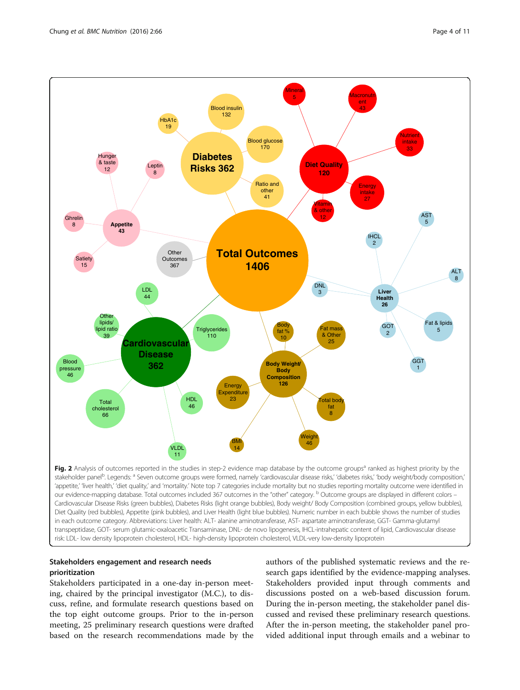<span id="page-3-0"></span>

# Stakeholders engagement and research needs prioritization

Stakeholders participated in a one-day in-person meeting, chaired by the principal investigator (M.C.), to discuss, refine, and formulate research questions based on the top eight outcome groups. Prior to the in-person meeting, 25 preliminary research questions were drafted based on the research recommendations made by the authors of the published systematic reviews and the research gaps identified by the evidence-mapping analyses. Stakeholders provided input through comments and discussions posted on a web-based discussion forum. During the in-person meeting, the stakeholder panel discussed and revised these preliminary research questions. After the in-person meeting, the stakeholder panel provided additional input through emails and a webinar to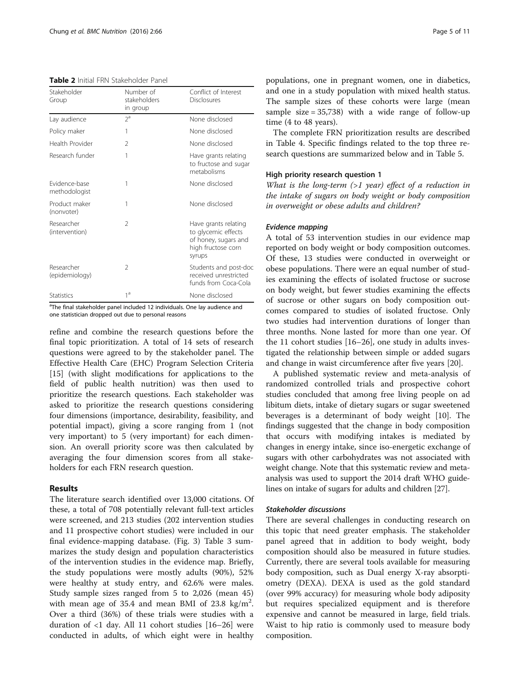<span id="page-4-0"></span>Table 2 Initial FRN Stakeholder Panel

| Stakeholder<br>Group           | Number of<br>stakeholders<br>in group | Conflict of Interest<br><b>Disclosures</b>                                                          |
|--------------------------------|---------------------------------------|-----------------------------------------------------------------------------------------------------|
| Lay audience                   | $2^a$                                 | None disclosed                                                                                      |
| Policy maker                   | 1                                     | None disclosed                                                                                      |
| Health Provider                | $\mathfrak{D}$                        | None disclosed                                                                                      |
| Research funder                | 1                                     | Have grants relating<br>to fructose and sugar<br>metabolisms                                        |
| Fvidence-base<br>methodologist | 1                                     | None disclosed                                                                                      |
| Product maker<br>(nonvoter)    | 1                                     | None disclosed                                                                                      |
| Researcher<br>(intervention)   | $\mathfrak{D}$                        | Have grants relating<br>to glycemic effects<br>of honey, sugars and<br>high fructose corn<br>syrups |
| Researcher<br>(epidemiology)   | $\mathcal{P}$                         | Students and post-doc<br>received unrestricted<br>funds from Coca-Cola                              |
| <b>Statistics</b>              | 1 <sup>a</sup>                        | None disclosed                                                                                      |

<sup>a</sup>The final stakeholder panel included 12 individuals. One lay audience and one statistician dropped out due to personal reasons

refine and combine the research questions before the final topic prioritization. A total of 14 sets of research questions were agreed to by the stakeholder panel. The Effective Health Care (EHC) Program Selection Criteria [[15\]](#page-10-0) (with slight modifications for applications to the field of public health nutrition) was then used to prioritize the research questions. Each stakeholder was asked to prioritize the research questions considering four dimensions (importance, desirability, feasibility, and potential impact), giving a score ranging from 1 (not very important) to 5 (very important) for each dimension. An overall priority score was then calculated by averaging the four dimension scores from all stakeholders for each FRN research question.

#### Results

The literature search identified over 13,000 citations. Of these, a total of 708 potentially relevant full-text articles were screened, and 213 studies (202 intervention studies and 11 prospective cohort studies) were included in our final evidence-mapping database. (Fig. [3](#page-5-0)) Table [3](#page-6-0) summarizes the study design and population characteristics of the intervention studies in the evidence map. Briefly, the study populations were mostly adults (90%), 52% were healthy at study entry, and 62.6% were males. Study sample sizes ranged from 5 to 2,026 (mean 45) with mean age of  $35.4$  and mean BMI of  $23.8 \text{ kg/m}^2$ . Over a third (36%) of these trials were studies with a duration of <1 day. All 11 cohort studies [\[16](#page-10-0)–[26](#page-10-0)] were conducted in adults, of which eight were in healthy populations, one in pregnant women, one in diabetics, and one in a study population with mixed health status. The sample sizes of these cohorts were large (mean sample  $size = 35,738$ ) with a wide range of follow-up time (4 to 48 years).

The complete FRN prioritization results are described in Table [4](#page-7-0). Specific findings related to the top three research questions are summarized below and in Table [5.](#page-8-0)

#### High priority research question 1

What is the long-term  $(>1$  year) effect of a reduction in the intake of sugars on body weight or body composition in overweight or obese adults and children?

#### Evidence mapping

A total of 53 intervention studies in our evidence map reported on body weight or body composition outcomes. Of these, 13 studies were conducted in overweight or obese populations. There were an equal number of studies examining the effects of isolated fructose or sucrose on body weight, but fewer studies examining the effects of sucrose or other sugars on body composition outcomes compared to studies of isolated fructose. Only two studies had intervention durations of longer than three months. None lasted for more than one year. Of the 11 cohort studies [\[16](#page-10-0)–[26\]](#page-10-0), one study in adults investigated the relationship between simple or added sugars and change in waist circumference after five years [\[20](#page-10-0)].

A published systematic review and meta-analysis of randomized controlled trials and prospective cohort studies concluded that among free living people on ad libitum diets, intake of dietary sugars or sugar sweetened beverages is a determinant of body weight [[10\]](#page-10-0). The findings suggested that the change in body composition that occurs with modifying intakes is mediated by changes in energy intake, since iso-energetic exchange of sugars with other carbohydrates was not associated with weight change. Note that this systematic review and metaanalysis was used to support the 2014 draft WHO guidelines on intake of sugars for adults and children [\[27](#page-10-0)].

#### Stakeholder discussions

There are several challenges in conducting research on this topic that need greater emphasis. The stakeholder panel agreed that in addition to body weight, body composition should also be measured in future studies. Currently, there are several tools available for measuring body composition, such as Dual energy X-ray absorptiometry (DEXA). DEXA is used as the gold standard (over 99% accuracy) for measuring whole body adiposity but requires specialized equipment and is therefore expensive and cannot be measured in large, field trials. Waist to hip ratio is commonly used to measure body composition.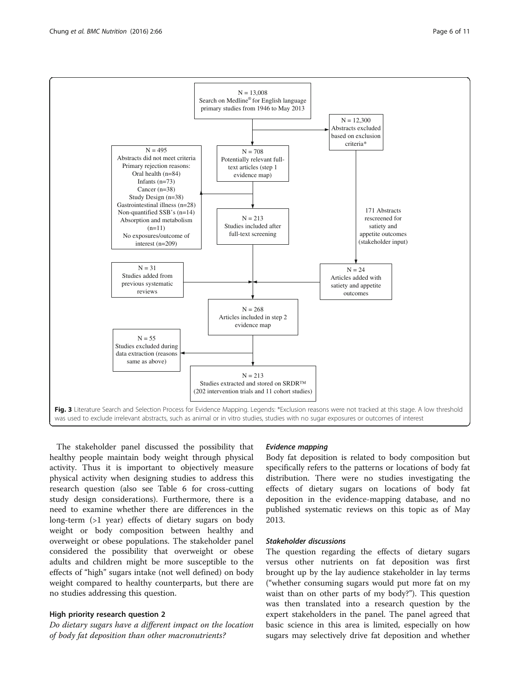<span id="page-5-0"></span>

The stakeholder panel discussed the possibility that healthy people maintain body weight through physical activity. Thus it is important to objectively measure physical activity when designing studies to address this research question (also see Table [6](#page-8-0) for cross-cutting study design considerations). Furthermore, there is a need to examine whether there are differences in the long-term (>1 year) effects of dietary sugars on body weight or body composition between healthy and overweight or obese populations. The stakeholder panel considered the possibility that overweight or obese adults and children might be more susceptible to the effects of "high" sugars intake (not well defined) on body weight compared to healthy counterparts, but there are no studies addressing this question.

### High priority research question 2

Do dietary sugars have a different impact on the location of body fat deposition than other macronutrients?

#### Evidence mapping

Body fat deposition is related to body composition but specifically refers to the patterns or locations of body fat distribution. There were no studies investigating the effects of dietary sugars on locations of body fat deposition in the evidence-mapping database, and no published systematic reviews on this topic as of May 2013.

#### Stakeholder discussions

The question regarding the effects of dietary sugars versus other nutrients on fat deposition was first brought up by the lay audience stakeholder in lay terms ("whether consuming sugars would put more fat on my waist than on other parts of my body?"). This question was then translated into a research question by the expert stakeholders in the panel. The panel agreed that basic science in this area is limited, especially on how sugars may selectively drive fat deposition and whether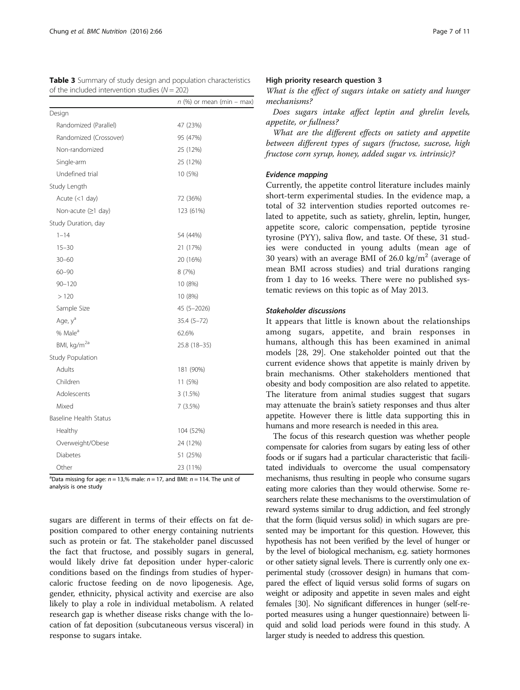| of the included intervention studies ( $N = 202$ ) |                                  |  |
|----------------------------------------------------|----------------------------------|--|
|                                                    | <i>n</i> (%) or mean (min – max) |  |
| Design                                             |                                  |  |
| Randomized (Parallel)                              | 47 (23%)                         |  |
| Randomized (Crossover)                             | 95 (47%)                         |  |
| Non-randomized                                     | 25 (12%)                         |  |
| Single-arm                                         | 25 (12%)                         |  |
| Undefined trial                                    | 10 (5%)                          |  |
| Study Length                                       |                                  |  |
| Acute $(<1$ day)                                   | 72 (36%)                         |  |
| Non-acute (≥1 day)                                 | 123 (61%)                        |  |
| Study Duration, day                                |                                  |  |
| $1 - 14$                                           | 54 (44%)                         |  |
| $15 - 30$                                          | 21 (17%)                         |  |
| $30 - 60$                                          | 20 (16%)                         |  |
| $60 - 90$                                          | 8(7%)                            |  |
| $90 - 120$                                         | 10 (8%)                          |  |
| >120                                               | 10 (8%)                          |  |
| Sample Size                                        | 45 (5-2026)                      |  |
| Age, y <sup>a</sup>                                | 35.4 (5–72)                      |  |
| % Male <sup>a</sup>                                | 62.6%                            |  |
| BMI, kg/m <sup>2a</sup>                            | 25.8 (18-35)                     |  |
| Study Population                                   |                                  |  |
| Adults                                             | 181 (90%)                        |  |
| Children                                           | 11 (5%)                          |  |
| Adolescents                                        | 3(1.5%)                          |  |
| Mixed                                              | 7(3.5%)                          |  |
| Baseline Health Status                             |                                  |  |
| Healthy                                            | 104 (52%)                        |  |
| Overweight/Obese                                   | 24 (12%)                         |  |
| <b>Diabetes</b>                                    | 51 (25%)                         |  |
| Other                                              | 23 (11%)                         |  |

<span id="page-6-0"></span>Table 3 Summary of study design and population characteristics

<sup>a</sup>Data missing for age:  $n = 13,$ % male:  $n = 17$ , and BMI:  $n = 114$ . The unit of analysis is one study

sugars are different in terms of their effects on fat deposition compared to other energy containing nutrients such as protein or fat. The stakeholder panel discussed the fact that fructose, and possibly sugars in general, would likely drive fat deposition under hyper-caloric conditions based on the findings from studies of hypercaloric fructose feeding on de novo lipogenesis. Age, gender, ethnicity, physical activity and exercise are also likely to play a role in individual metabolism. A related research gap is whether disease risks change with the location of fat deposition (subcutaneous versus visceral) in response to sugars intake.

#### High priority research question 3

What is the effect of sugars intake on satiety and hunger mechanisms?

Does sugars intake affect leptin and ghrelin levels, appetite, or fullness?

What are the different effects on satiety and appetite between different types of sugars (fructose, sucrose, high fructose corn syrup, honey, added sugar vs. intrinsic)?

#### Evidence mapping

Currently, the appetite control literature includes mainly short-term experimental studies. In the evidence map, a total of 32 intervention studies reported outcomes related to appetite, such as satiety, ghrelin, leptin, hunger, appetite score, caloric compensation, peptide tyrosine tyrosine (PYY), saliva flow, and taste. Of these, 31 studies were conducted in young adults (mean age of 30 years) with an average BMI of  $26.0 \text{ kg/m}^2$  (average of mean BMI across studies) and trial durations ranging from 1 day to 16 weeks. There were no published systematic reviews on this topic as of May 2013.

#### Stakeholder discussions

It appears that little is known about the relationships among sugars, appetite, and brain responses in humans, although this has been examined in animal models [[28](#page-10-0), [29\]](#page-10-0). One stakeholder pointed out that the current evidence shows that appetite is mainly driven by brain mechanisms. Other stakeholders mentioned that obesity and body composition are also related to appetite. The literature from animal studies suggest that sugars may attenuate the brain's satiety responses and thus alter appetite. However there is little data supporting this in humans and more research is needed in this area.

The focus of this research question was whether people compensate for calories from sugars by eating less of other foods or if sugars had a particular characteristic that facilitated individuals to overcome the usual compensatory mechanisms, thus resulting in people who consume sugars eating more calories than they would otherwise. Some researchers relate these mechanisms to the overstimulation of reward systems similar to drug addiction, and feel strongly that the form (liquid versus solid) in which sugars are presented may be important for this question. However, this hypothesis has not been verified by the level of hunger or by the level of biological mechanism, e.g. satiety hormones or other satiety signal levels. There is currently only one experimental study (crossover design) in humans that compared the effect of liquid versus solid forms of sugars on weight or adiposity and appetite in seven males and eight females [\[30](#page-10-0)]. No significant differences in hunger (self-reported measures using a hunger questionnaire) between liquid and solid load periods were found in this study. A larger study is needed to address this question.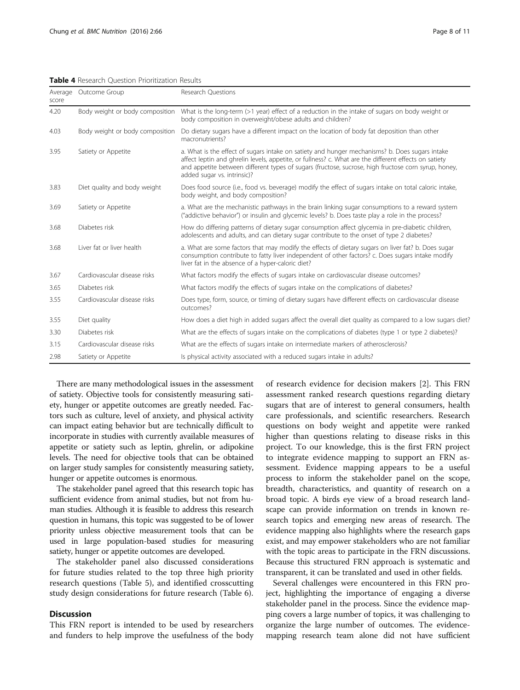<span id="page-7-0"></span>Table 4 Research Question Prioritization Results

| Average<br>score | Outcome Group                   | Research Questions                                                                                                                                                                                                                                                                                                                            |
|------------------|---------------------------------|-----------------------------------------------------------------------------------------------------------------------------------------------------------------------------------------------------------------------------------------------------------------------------------------------------------------------------------------------|
| 4.20             | Body weight or body composition | What is the long-term $(>1$ year) effect of a reduction in the intake of sugars on body weight or<br>body composition in overweight/obese adults and children?                                                                                                                                                                                |
| 4.03             | Body weight or body composition | Do dietary sugars have a different impact on the location of body fat deposition than other<br>macronutrients?                                                                                                                                                                                                                                |
| 3.95             | Satiety or Appetite             | a. What is the effect of sugars intake on satiety and hunger mechanisms? b. Does sugars intake<br>affect leptin and ghrelin levels, appetite, or fullness? c. What are the different effects on satiety<br>and appetite between different types of sugars (fructose, sucrose, high fructose corn syrup, honey,<br>added sugar vs. intrinsic)? |
| 3.83             | Diet quality and body weight    | Does food source (i.e., food vs. beverage) modify the effect of sugars intake on total caloric intake,<br>body weight, and body composition?                                                                                                                                                                                                  |
| 3.69             | Satiety or Appetite             | a. What are the mechanistic pathways in the brain linking sugar consumptions to a reward system<br>("addictive behavior") or insulin and glycemic levels? b. Does taste play a role in the process?                                                                                                                                           |
| 3.68             | Diabetes risk                   | How do differing patterns of dietary sugar consumption affect glycemia in pre-diabetic children,<br>adolescents and adults, and can dietary sugar contribute to the onset of type 2 diabetes?                                                                                                                                                 |
| 3.68             | Liver fat or liver health       | a. What are some factors that may modify the effects of dietary sugars on liver fat? b. Does sugar<br>consumption contribute to fatty liver independent of other factors? c. Does sugars intake modify<br>liver fat in the absence of a hyper-caloric diet?                                                                                   |
| 3.67             | Cardiovascular disease risks    | What factors modify the effects of sugars intake on cardiovascular disease outcomes?                                                                                                                                                                                                                                                          |
| 3.65             | Diabetes risk                   | What factors modify the effects of sugars intake on the complications of diabetes?                                                                                                                                                                                                                                                            |
| 3.55             | Cardiovascular disease risks    | Does type, form, source, or timing of dietary sugars have different effects on cardiovascular disease<br>outcomes?                                                                                                                                                                                                                            |
| 3.55             | Diet quality                    | How does a diet high in added sugars affect the overall diet quality as compared to a low sugars diet?                                                                                                                                                                                                                                        |
| 3.30             | Diabetes risk                   | What are the effects of sugars intake on the complications of diabetes (type 1 or type 2 diabetes)?                                                                                                                                                                                                                                           |
| 3.15             | Cardiovascular disease risks    | What are the effects of sugars intake on intermediate markers of atherosclerosis?                                                                                                                                                                                                                                                             |
| 2.98             | Satiety or Appetite             | Is physical activity associated with a reduced sugars intake in adults?                                                                                                                                                                                                                                                                       |

There are many methodological issues in the assessment of satiety. Objective tools for consistently measuring satiety, hunger or appetite outcomes are greatly needed. Factors such as culture, level of anxiety, and physical activity can impact eating behavior but are technically difficult to incorporate in studies with currently available measures of appetite or satiety such as leptin, ghrelin, or adipokine levels. The need for objective tools that can be obtained on larger study samples for consistently measuring satiety, hunger or appetite outcomes is enormous.

The stakeholder panel agreed that this research topic has sufficient evidence from animal studies, but not from human studies. Although it is feasible to address this research question in humans, this topic was suggested to be of lower priority unless objective measurement tools that can be used in large population-based studies for measuring satiety, hunger or appetite outcomes are developed.

The stakeholder panel also discussed considerations for future studies related to the top three high priority research questions (Table [5](#page-8-0)), and identified crosscutting study design considerations for future research (Table [6\)](#page-8-0).

## **Discussion**

This FRN report is intended to be used by researchers and funders to help improve the usefulness of the body of research evidence for decision makers [[2\]](#page-9-0). This FRN assessment ranked research questions regarding dietary sugars that are of interest to general consumers, health care professionals, and scientific researchers. Research questions on body weight and appetite were ranked higher than questions relating to disease risks in this project. To our knowledge, this is the first FRN project to integrate evidence mapping to support an FRN assessment. Evidence mapping appears to be a useful process to inform the stakeholder panel on the scope, breadth, characteristics, and quantity of research on a broad topic. A birds eye view of a broad research landscape can provide information on trends in known research topics and emerging new areas of research. The evidence mapping also highlights where the research gaps exist, and may empower stakeholders who are not familiar with the topic areas to participate in the FRN discussions. Because this structured FRN approach is systematic and transparent, it can be translated and used in other fields.

Several challenges were encountered in this FRN project, highlighting the importance of engaging a diverse stakeholder panel in the process. Since the evidence mapping covers a large number of topics, it was challenging to organize the large number of outcomes. The evidencemapping research team alone did not have sufficient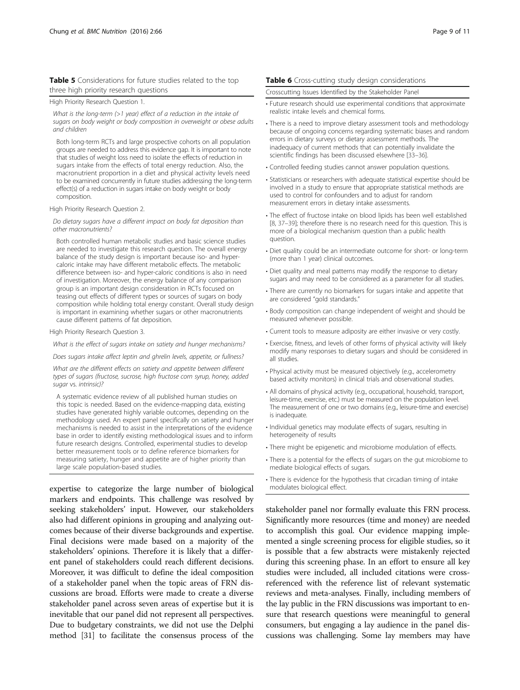#### <span id="page-8-0"></span>Table 5 Considerations for future studies related to the top three high priority research questions

High Priority Research Question 1.

What is the long-term (>1 year) effect of a reduction in the intake of sugars on body weight or body composition in overweight or obese adults and children

Both long-term RCTs and large prospective cohorts on all population groups are needed to address this evidence gap. It is important to note that studies of weight loss need to isolate the effects of reduction in sugars intake from the effects of total energy reduction. Also, the macronutrient proportion in a diet and physical activity levels need to be examined concurrently in future studies addressing the long-term effect(s) of a reduction in sugars intake on body weight or body composition.

High Priority Research Question 2.

Do dietary sugars have a different impact on body fat deposition than other macronutrients?

Both controlled human metabolic studies and basic science studies are needed to investigate this research question. The overall energy balance of the study design is important because iso- and hypercaloric intake may have different metabolic effects. The metabolic difference between iso- and hyper-caloric conditions is also in need of investigation. Moreover, the energy balance of any comparison group is an important design consideration in RCTs focused on teasing out effects of different types or sources of sugars on body composition while holding total energy constant. Overall study design is important in examining whether sugars or other macronutrients cause different patterns of fat deposition.

High Priority Research Question 3.

What is the effect of sugars intake on satiety and hunger mechanisms?

Does sugars intake affect leptin and ghrelin levels, appetite, or fullness?

What are the different effects on satiety and appetite between different types of sugars (fructose, sucrose, high fructose corn syrup, honey, added sugar vs. intrinsic)?

A systematic evidence review of all published human studies on this topic is needed. Based on the evidence-mapping data, existing studies have generated highly variable outcomes, depending on the methodology used. An expert panel specifically on satiety and hunger mechanisms is needed to assist in the interpretations of the evidence base in order to identify existing methodological issues and to inform future research designs. Controlled, experimental studies to develop better measurement tools or to define reference biomarkers for measuring satiety, hunger and appetite are of higher priority than large scale population-based studies.

expertise to categorize the large number of biological markers and endpoints. This challenge was resolved by seeking stakeholders' input. However, our stakeholders also had different opinions in grouping and analyzing outcomes because of their diverse backgrounds and expertise. Final decisions were made based on a majority of the stakeholders' opinions. Therefore it is likely that a different panel of stakeholders could reach different decisions. Moreover, it was difficult to define the ideal composition of a stakeholder panel when the topic areas of FRN discussions are broad. Efforts were made to create a diverse stakeholder panel across seven areas of expertise but it is inevitable that our panel did not represent all perspectives. Due to budgetary constraints, we did not use the Delphi method [[31\]](#page-10-0) to facilitate the consensus process of the

#### Crosscutting Issues Identified by the Stakeholder Panel

- Future research should use experimental conditions that approximate realistic intake levels and chemical forms.
- There is a need to improve dietary assessment tools and methodology because of ongoing concerns regarding systematic biases and random errors in dietary surveys or dietary assessment methods. The inadequacy of current methods that can potentially invalidate the scientific findings has been discussed elsewhere [[33](#page-10-0)–[36](#page-10-0)].
- Controlled feeding studies cannot answer population questions.
- Statisticians or researchers with adequate statistical expertise should be involved in a study to ensure that appropriate statistical methods are used to control for confounders and to adjust for random measurement errors in dietary intake assessments.
- The effect of fructose intake on blood lipids has been well established [\[8,](#page-10-0) [37](#page-10-0)–[39\]](#page-10-0); therefore there is no research need for this question. This is more of a biological mechanism question than a public health question.
- Diet quality could be an intermediate outcome for short- or long-term (more than 1 year) clinical outcomes.
- Diet quality and meal patterns may modify the response to dietary sugars and may need to be considered as a parameter for all studies.
- There are currently no biomarkers for sugars intake and appetite that are considered "gold standards."
- Body composition can change independent of weight and should be measured whenever possible.
- Current tools to measure adiposity are either invasive or very costly.
- Exercise, fitness, and levels of other forms of physical activity will likely modify many responses to dietary sugars and should be considered in all studies.
- Physical activity must be measured objectively (e.g., accelerometry based activity monitors) in clinical trials and observational studies.
- All domains of physical activity (e.g., occupational, household, transport, leisure-time, exercise, etc.) must be measured on the population level. The measurement of one or two domains (e.g., leisure-time and exercise) is inadequate.
- Individual genetics may modulate effects of sugars, resulting in heterogeneity of results
- There might be epigenetic and microbiome modulation of effects.
- There is a potential for the effects of sugars on the gut microbiome to mediate biological effects of sugars.
- There is evidence for the hypothesis that circadian timing of intake modulates biological effect.

stakeholder panel nor formally evaluate this FRN process. Significantly more resources (time and money) are needed to accomplish this goal. Our evidence mapping implemented a single screening process for eligible studies, so it is possible that a few abstracts were mistakenly rejected during this screening phase. In an effort to ensure all key studies were included, all included citations were crossreferenced with the reference list of relevant systematic reviews and meta-analyses. Finally, including members of the lay public in the FRN discussions was important to ensure that research questions were meaningful to general consumers, but engaging a lay audience in the panel discussions was challenging. Some lay members may have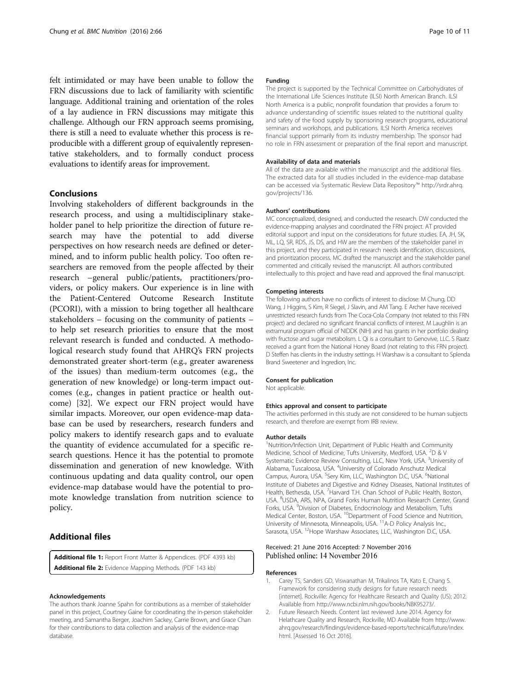<span id="page-9-0"></span>felt intimidated or may have been unable to follow the FRN discussions due to lack of familiarity with scientific language. Additional training and orientation of the roles of a lay audience in FRN discussions may mitigate this challenge. Although our FRN approach seems promising, there is still a need to evaluate whether this process is reproducible with a different group of equivalently representative stakeholders, and to formally conduct process evaluations to identify areas for improvement.

#### Conclusions

Involving stakeholders of different backgrounds in the research process, and using a multidisciplinary stakeholder panel to help prioritize the direction of future research may have the potential to add diverse perspectives on how research needs are defined or determined, and to inform public health policy. Too often researchers are removed from the people affected by their research –general public/patients, practitioners/providers, or policy makers. Our experience is in line with the Patient-Centered Outcome Research Institute (PCORI), with a mission to bring together all healthcare stakeholders – focusing on the community of patients – to help set research priorities to ensure that the most relevant research is funded and conducted. A methodological research study found that AHRQ's FRN projects demonstrated greater short-term (e.g., greater awareness of the issues) than medium-term outcomes (e.g., the generation of new knowledge) or long-term impact outcomes (e.g., changes in patient practice or health outcome) [[32\]](#page-10-0). We expect our FRN project would have similar impacts. Moreover, our open evidence-map database can be used by researchers, research funders and policy makers to identify research gaps and to evaluate the quantity of evidence accumulated for a specific research questions. Hence it has the potential to promote dissemination and generation of new knowledge. With continuous updating and data quality control, our open evidence-map database would have the potential to promote knowledge translation from nutrition science to policy.

# Additional files

[Additional file 1:](dx.doi.org/10.1186/s40795-016-0108-0) Report Front Matter & Appendices. (PDF 4393 kb) [Additional file 2:](dx.doi.org/10.1186/s40795-016-0108-0) Evidence Mapping Methods. (PDF 143 kb)

#### Acknowledgements

The authors thank Joanne Spahn for contributions as a member of stakeholder panel in this project, Courtney Gaine for coordinating the in-person stakeholder meeting, and Samantha Berger, Joachim Sackey, Carrie Brown, and Grace Chan for their contributions to data collection and analysis of the evidence-map database.

#### Funding

The project is supported by the Technical Committee on Carbohydrates of the International Life Sciences Institute (ILSI) North American Branch. ILSI North America is a public, nonprofit foundation that provides a forum to advance understanding of scientific issues related to the nutritional quality and safety of the food supply by sponsoring research programs, educational seminars and workshops, and publications. ILSI North America receives financial support primarily from its industry membership. The sponsor had no role in FRN assessment or preparation of the final report and manuscript.

#### Availability of data and materials

All of the data are available within the manuscript and the additional files. The extracted data for all studies included in the evidence-map database can be accessed via Systematic Review Data Repository™ [http://srdr.ahrq.](http://srdr.ahrq.gov/projects/136) [gov/projects/136](http://srdr.ahrq.gov/projects/136).

#### Authors' contributions

MC conceptualized, designed, and conducted the research. DW conducted the evidence-mapping analyses and coordinated the FRN project. AT provided editorial support and input on the considerations for future studies. EA, JH, SK, ML, LQ, SR, RDS, JS, DS, and HW are the members of the stakeholder panel in this project, and they participated in research needs identification, discussions, and prioritization process. MC drafted the manuscript and the stakeholder panel commented and critically revised the manuscript. All authors contributed intellectually to this project and have read and approved the final manuscript.

#### Competing interests

The following authors have no conflicts of interest to disclose: M Chung, DD Wang, J Higgins, S Kim, R Siegel, J Slavin, and AM Tang. E Archer have received unrestricted research funds from The Coca-Cola Company (not related to this FRN project) and declared no significant financial conflicts of interest. M Laughlin is an extramural program official of NIDDK (NIH) and has grants in her portfolio dealing with fructose and sugar metabolism. L Qi is a consultant to Genovive, LLC. S Raatz received a grant from the National Honey Board (not relating to this FRN project). D Steffen has clients in the industry settings. H Warshaw is a consultant to Splenda Brand Sweetener and Ingredion, Inc.

#### Consent for publication

Not applicable.

#### Ethics approval and consent to participate

The activities performed in this study are not considered to be human subjects research, and therefore are exempt from IRB review.

#### Author details

<sup>1</sup>Nutrition/Infection Unit, Department of Public Health and Community Medicine, School of Medicine, Tufts University, Medford, USA. <sup>2</sup>D & V Systematic Evidence Review Consulting, LLC, New York, USA. <sup>3</sup>University of Alabama, Tuscaloosa, USA. <sup>4</sup> University of Colorado Anschutz Medical Campus, Aurora, USA. <sup>5</sup>Sery Kim, LLC, Washington D.C, USA. <sup>6</sup>National Institute of Diabetes and Digestive and Kidney Diseases, National Institutes of Health, Bethesda, USA. <sup>7</sup> Harvard T.H. Chan School of Public Health, Boston USA. <sup>8</sup>USDA, ARS, NPA, Grand Forks Human Nutrition Research Center, Grand Forks, USA. <sup>9</sup> Division of Diabetes, Endocrinology and Metabolism, Tufts Medical Center, Boston, USA. <sup>10</sup>Department of Food Science and Nutrition, University of Minnesota, Minneapolis, USA. <sup>11</sup>A-D Policy Analysis Inc., Sarasota, USA. 12Hope Warshaw Associates, LLC, Washington D.C, USA.

#### Received: 21 June 2016 Accepted: 7 November 2016 Published online: 14 November 2016

#### References

- 1. Carey TS, Sanders GD, Viswanathan M, Trikalinos TA, Kato E, Chang S. Framework for considering study designs for future research needs [internet]. Rockville: Agency for Healthcare Research and Quality (US); 2012. Available from<http://www.ncbi.nlm.nih.gov/books/NBK95273/>.
- 2. Future Research Needs. Content last reviewed June 2014. Agency for Helathcare Quality and Research, Rockville, MD Available from [http://www.](http://www.ahrq.gov/research/findings/evidence-based-reports/technical/future/index.html) [ahrq.gov/research/findings/evidence-based-reports/technical/future/index.](http://www.ahrq.gov/research/findings/evidence-based-reports/technical/future/index.html) [html.](http://www.ahrq.gov/research/findings/evidence-based-reports/technical/future/index.html) [Assessed 16 Oct 2016].